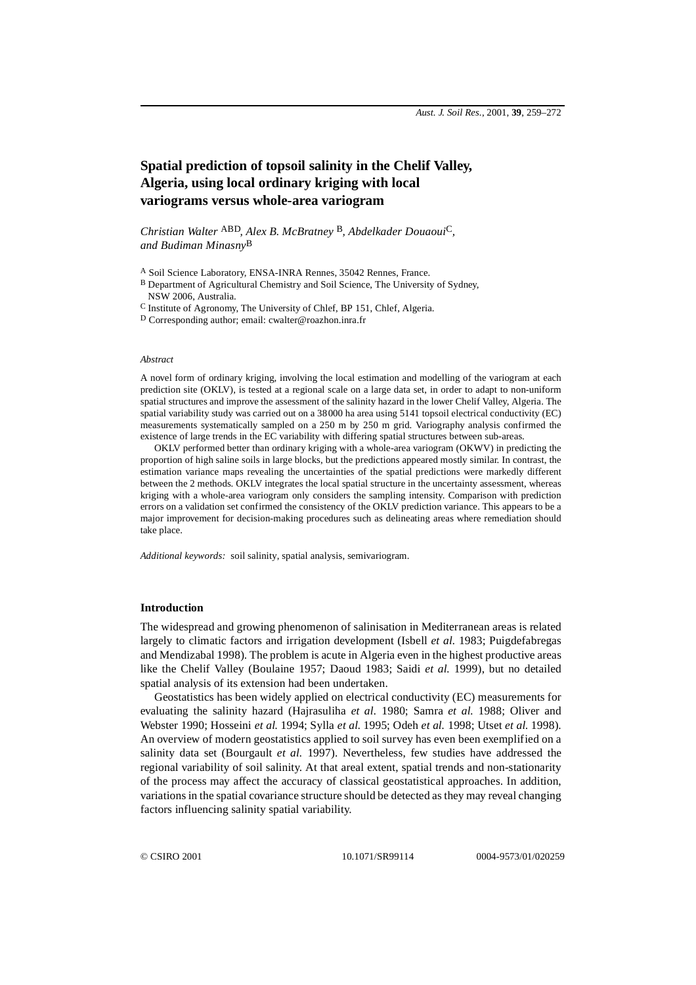# **Spatial prediction of topsoil salinity in the Chelif Valley, Algeria, using local ordinary kriging with local variograms versus whole-area variogram**

*Christian Walter* ABD*, Alex B. McBratney* B*, Abdelkader Douaoui*C*, and Budiman Minasny*B

A Soil Science Laboratory, ENSA-INRA Rennes, 35042 Rennes, France.

B Department of Agricultural Chemistry and Soil Science, The University of Sydney, NSW 2006, Australia.

C Institute of Agronomy, The University of Chlef, BP 151, Chlef, Algeria.

D Corresponding author; email: cwalter@roazhon.inra.fr

### *Abstract*

A novel form of ordinary kriging, involving the local estimation and modelling of the variogram at each prediction site (OKLV), is tested at a regional scale on a large data set, in order to adapt to non-uniform spatial structures and improve the assessment of the salinity hazard in the lower Chelif Valley, Algeria. The spatial variability study was carried out on a 38000 ha area using 5141 topsoil electrical conductivity (EC) measurements systematically sampled on a 250 m by 250 m grid. Variography analysis confirmed the existence of large trends in the EC variability with differing spatial structures between sub-areas.

OKLV performed better than ordinary kriging with a whole-area variogram (OKWV) in predicting the proportion of high saline soils in large blocks, but the predictions appeared mostly similar. In contrast, the estimation variance maps revealing the uncertainties of the spatial predictions were markedly different between the 2 methods. OKLV integrates the local spatial structure in the uncertainty assessment, whereas kriging with a whole-area variogram only considers the sampling intensity. Comparison with prediction errors on a validation set confirmed the consistency of the OKLV prediction variance. This appears to be a major improvement for decision-making procedures such as delineating areas where remediation should take place.

*Additional keywords:* soil salinity, spatial analysis, semivariogram.

# **Introduction**

The widespread and growing phenomenon of salinisation in Mediterranean areas is related largely to climatic factors and irrigation development (Isbell *et al.* 1983; Puigdefabregas and Mendizabal 1998). The problem is acute in Algeria even in the highest productive areas like the Chelif Valley (Boulaine 1957; Daoud 1983; Saidi *et al.* 1999), but no detailed spatial analysis of its extension had been undertaken.

Geostatistics has been widely applied on electrical conductivity (EC) measurements for evaluating the salinity hazard (Hajrasuliha *et al.* 1980; Samra *et al.* 1988; Oliver and Webster 1990; Hosseini *et al.* 1994; Sylla *et al.* 1995; Odeh *et al.* 1998; Utset *et al.* 1998). An overview of modern geostatistics applied to soil survey has even been exemplified on a salinity data set (Bourgault *et al.* 1997). Nevertheless, few studies have addressed the regional variability of soil salinity. At that areal extent, spatial trends and non-stationarity of the process may affect the accuracy of classical geostatistical approaches. In addition, variations in the spatial covariance structure should be detected as they may reveal changing factors influencing salinity spatial variability.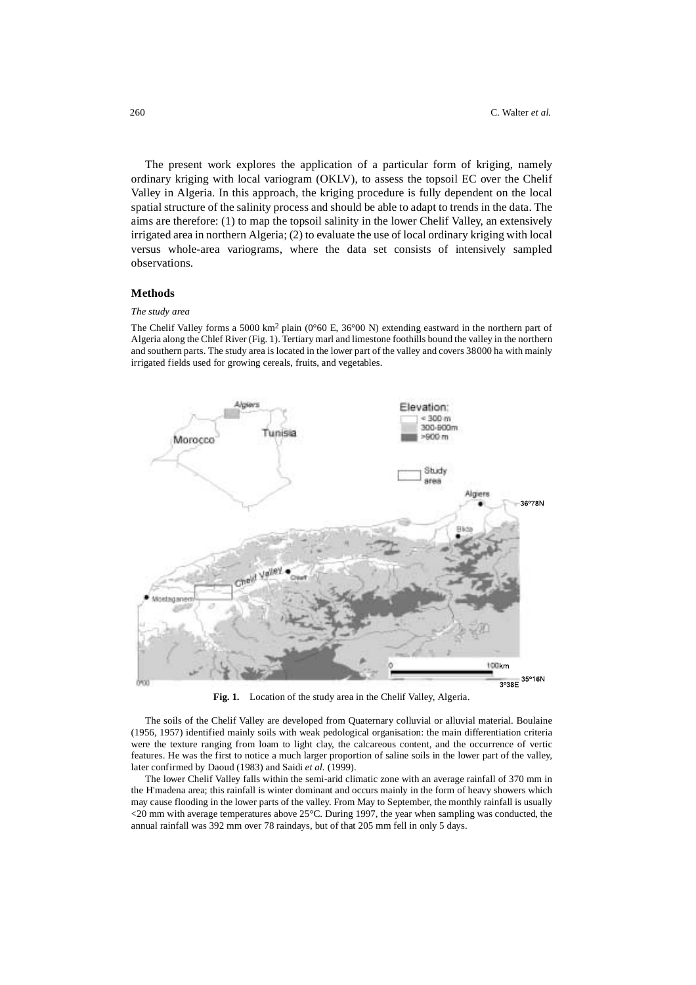The present work explores the application of a particular form of kriging, namely ordinary kriging with local variogram (OKLV), to assess the topsoil EC over the Chelif Valley in Algeria. In this approach, the kriging procedure is fully dependent on the local spatial structure of the salinity process and should be able to adapt to trends in the data. The aims are therefore: (1) to map the topsoil salinity in the lower Chelif Valley, an extensively irrigated area in northern Algeria; (2) to evaluate the use of local ordinary kriging with local versus whole-area variograms, where the data set consists of intensively sampled observations.

# **Methods**

### *The study area*

The Chelif Valley forms a 5000 km2 plain (0°60 E, 36°00 N) extending eastward in the northern part of Algeria along the Chlef River (Fig. 1). Tertiary marl and limestone foothills bound the valley in the northern and southern parts. The study area is located in the lower part of the valley and covers 38000 ha with mainly irrigated fields used for growing cereals, fruits, and vegetables.



**Fig. 1.** Location of the study area in the Chelif Valley, Algeria.

The soils of the Chelif Valley are developed from Quaternary colluvial or alluvial material. Boulaine (1956, 1957) identified mainly soils with weak pedological organisation: the main differentiation criteria were the texture ranging from loam to light clay, the calcareous content, and the occurrence of vertic features. He was the first to notice a much larger proportion of saline soils in the lower part of the valley, later confirmed by Daoud (1983) and Saidi *et al.* (1999).

The lower Chelif Valley falls within the semi-arid climatic zone with an average rainfall of 370 mm in the H'madena area; this rainfall is winter dominant and occurs mainly in the form of heavy showers which may cause flooding in the lower parts of the valley. From May to September, the monthly rainfall is usually  $\langle 20 \text{ mm}$  with average temperatures above 25 $\degree$ C. During 1997, the year when sampling was conducted, the annual rainfall was 392 mm over 78 raindays, but of that 205 mm fell in only 5 days.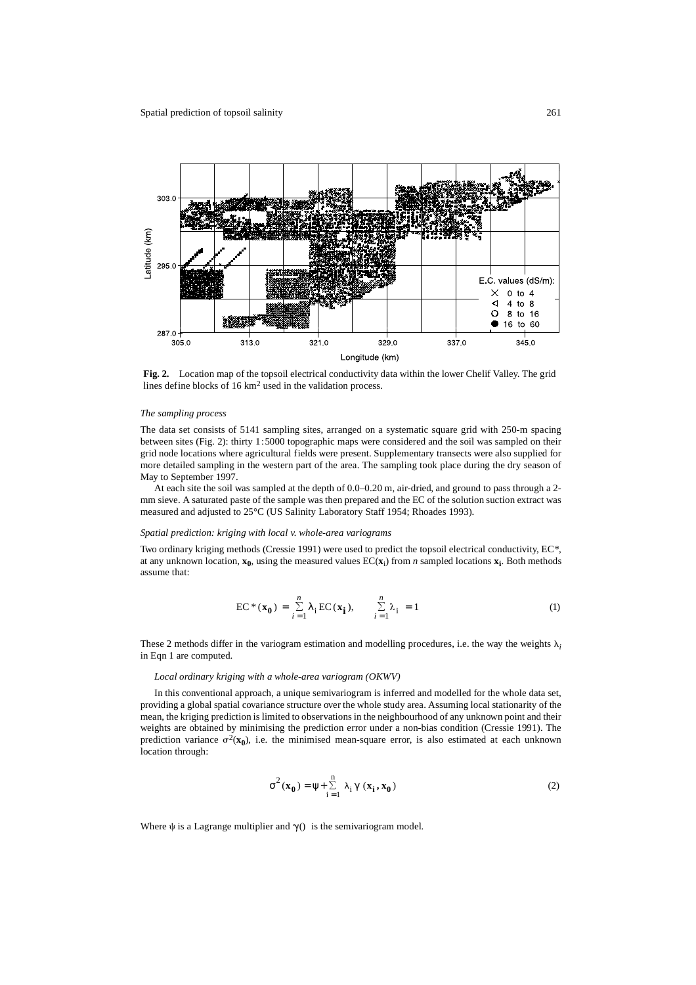

**Fig. 2.** Location map of the topsoil electrical conductivity data within the lower Chelif Valley. The grid lines define blocks of 16 km2 used in the validation process.

### *The sampling process*

The data set consists of 5141 sampling sites, arranged on a systematic square grid with 250-m spacing between sites (Fig. 2): thirty 1:5000 topographic maps were considered and the soil was sampled on their grid node locations where agricultural fields were present. Supplementary transects were also supplied for more detailed sampling in the western part of the area. The sampling took place during the dry season of May to September 1997.

At each site the soil was sampled at the depth of 0.0–0.20 m, air-dried, and ground to pass through a 2 mm sieve. A saturated paste of the sample was then prepared and the EC of the solution suction extract was measured and adjusted to 25°C (US Salinity Laboratory Staff 1954; Rhoades 1993).

### *Spatial prediction: kriging with local v. whole-area variograms*

Two ordinary kriging methods (Cressie 1991) were used to predict the topsoil electrical conductivity, EC*\**, at any unknown location,  $\mathbf{x}_0$ , using the measured values  $EC(\mathbf{x}_i)$  from *n* sampled locations  $\mathbf{x}_i$ . Both methods assume that:

$$
EC^*(\mathbf{x_0}) = \sum_{i=1}^n \lambda_i EC(\mathbf{x_i}), \qquad \sum_{i=1}^n \lambda_i = 1
$$
 (1)

These 2 methods differ in the variogram estimation and modelling procedures, i.e. the way the weights  $\lambda_i$ in Eqn 1 are computed.

#### *Local ordinary kriging with a whole-area variogram (OKWV)*

In this conventional approach, a unique semivariogram is inferred and modelled for the whole data set, providing a global spatial covariance structure over the whole study area. Assuming local stationarity of the mean, the kriging prediction is limited to observations in the neighbourhood of any unknown point and their weights are obtained by minimising the prediction error under a non-bias condition (Cressie 1991). The prediction variance  $\sigma^2(\mathbf{x_0})$ , i.e. the minimised mean-square error, is also estimated at each unknown location through:

$$
\sigma^{2}(\mathbf{x}_{0}) = \psi + \sum_{i=1}^{n} \lambda_{i} \gamma(\mathbf{x}_{i}, \mathbf{x}_{0})
$$
 (2)

Where  $\psi$  is a Lagrange multiplier and  $\gamma$ () is the semivariogram model.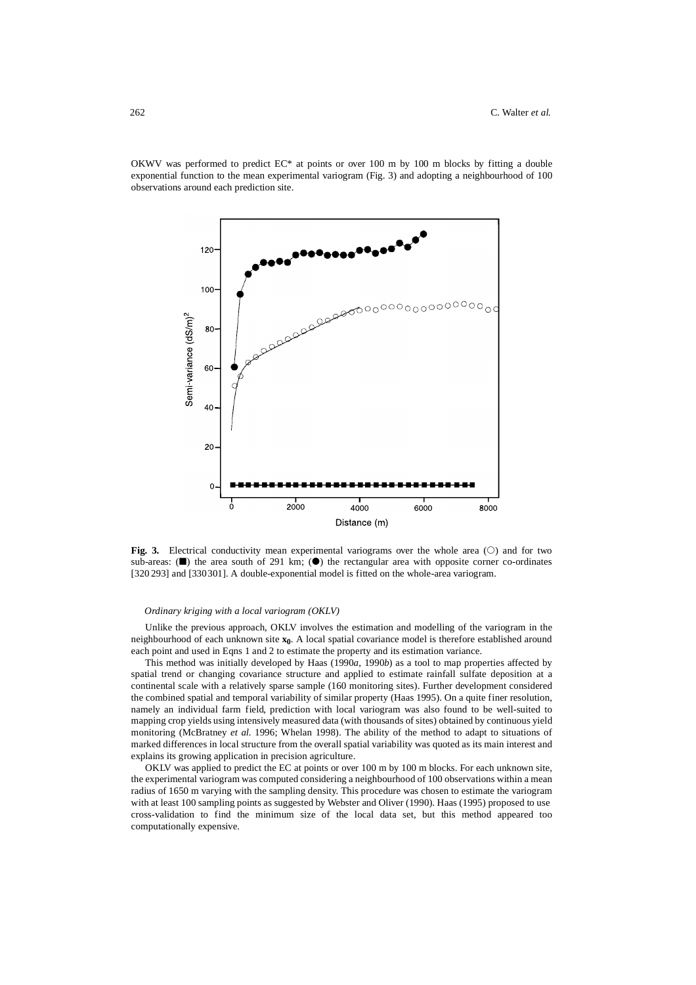OKWV was performed to predict  $EC^*$  at points or over 100 m by 100 m blocks by fitting a double exponential function to the mean experimental variogram (Fig. 3) and adopting a neighbourhood of 100 observations around each prediction site.



**Fig. 3.** Electrical conductivity mean experimental variograms over the whole area  $(\circ)$  and for two sub-areas:  $(\blacksquare)$  the area south of 291 km;  $(\lozenge)$  the rectangular area with opposite corner co-ordinates [320 293] and [330 301]. A double-exponential model is fitted on the whole-area variogram.

### *Ordinary kriging with a local variogram (OKLV)*

Unlike the previous approach, OKLV involves the estimation and modelling of the variogram in the neighbourhood of each unknown site  $x_0$ . A local spatial covariance model is therefore established around each point and used in Eqns 1 and 2 to estimate the property and its estimation variance.

This method was initially developed by Haas (1990*a*, 1990*b*) as a tool to map properties affected by spatial trend or changing covariance structure and applied to estimate rainfall sulfate deposition at a continental scale with a relatively sparse sample (160 monitoring sites). Further development considered the combined spatial and temporal variability of similar property (Haas 1995). On a quite finer resolution, namely an individual farm field, prediction with local variogram was also found to be well-suited to mapping crop yields using intensively measured data (with thousands of sites) obtained by continuous yield monitoring (McBratney *et al.* 1996; Whelan 1998). The ability of the method to adapt to situations of marked differences in local structure from the overall spatial variability was quoted as its main interest and explains its growing application in precision agriculture.

OKLV was applied to predict the EC at points or over 100 m by 100 m blocks. For each unknown site, the experimental variogram was computed considering a neighbourhood of 100 observations within a mean radius of 1650 m varying with the sampling density. This procedure was chosen to estimate the variogram with at least 100 sampling points as suggested by Webster and Oliver (1990). Haas (1995) proposed to use cross-validation to find the minimum size of the local data set, but this method appeared too computationally expensive.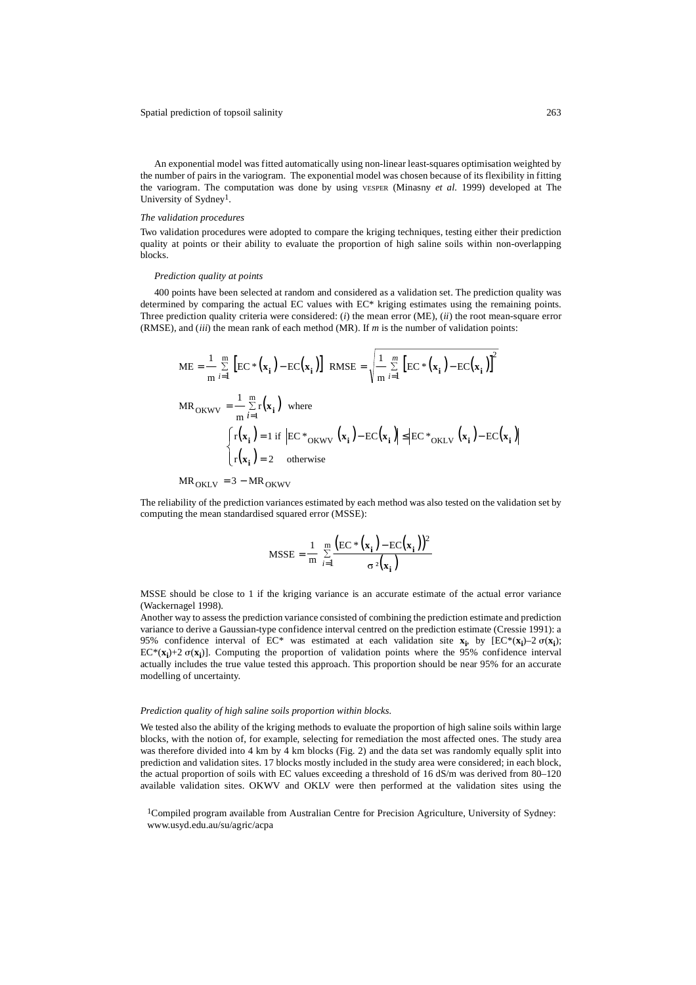An exponential model was fitted automatically using non-linear least-squares optimisation weighted by the number of pairs in the variogram. The exponential model was chosen because of its flexibility in fitting the variogram. The computation was done by using VESPER (Minasny *et al.* 1999) developed at The University of Sydney1.

### *The validation procedures*

Two validation procedures were adopted to compare the kriging techniques, testing either their prediction quality at points or their ability to evaluate the proportion of high saline soils within non-overlapping blocks.

### *Prediction quality at points*

400 points have been selected at random and considered as a validation set. The prediction quality was determined by comparing the actual EC values with EC\* kriging estimates using the remaining points. Three prediction quality criteria were considered: (*i*) the mean error (ME), (*ii*) the root mean-square error (RMSE), and (*iii*) the mean rank of each method (MR). If *m* is the number of validation points:

$$
ME = \frac{1}{m} \sum_{i=1}^{m} \left[ EC*(\mathbf{x}_i) - EC(\mathbf{x}_i) \right] \text{ RMSE} = \sqrt{\frac{1}{m} \sum_{i=1}^{m} \left[ EC*(\mathbf{x}_i) - EC(\mathbf{x}_i) \right]^2}
$$
  
\n
$$
MR_{OKWV} = \frac{1}{m} \sum_{i=1}^{m} r(\mathbf{x}_i) \text{ where}
$$
  
\n
$$
\int_{r}^{r} (x_i) = 1 \text{ if } \left| EC*_{OKWV} (\mathbf{x}_i) - EC(\mathbf{x}_i) \right| \le \left| EC*_{OKLV} (\mathbf{x}_i) - EC(\mathbf{x}_i) \right|
$$
  
\n
$$
\int_{r}^{r} (x_i) = 2 \text{ otherwise}
$$

MR<sub>OKLV</sub> =  $3 - MR$ <sub>OKWV</sub>

The reliability of the prediction variances estimated by each method was also tested on the validation set by computing the mean standardised squared error (MSSE):

$$
\text{MSSE} = \frac{1}{\text{m}} \sum_{i=1}^{\text{m}} \frac{\left(\text{EC} * \left(\mathbf{x}_i\right) - \text{EC} \left(\mathbf{x}_i\right)\right)^2}{\sigma^2 \left(\mathbf{x}_i\right)}
$$

MSSE should be close to 1 if the kriging variance is an accurate estimate of the actual error variance (Wackernagel 1998).

Another way to assess the prediction variance consisted of combining the prediction estimate and prediction variance to derive a Gaussian-type confidence interval centred on the prediction estimate (Cressie 1991): a 95% confidence interval of EC<sup>\*</sup> was estimated at each validation site  $\mathbf{x}_i$ , by  $\text{[EC}^*(\mathbf{x}_i) - 2 \sigma(\mathbf{x}_i)$ ;  $EC^*(\mathbf{x}_i)$ +2  $\sigma(\mathbf{x}_i)$ ]. Computing the proportion of validation points where the 95% confidence interval actually includes the true value tested this approach. This proportion should be near 95% for an accurate modelling of uncertainty.

### *Prediction quality of high saline soils proportion within blocks.*

We tested also the ability of the kriging methods to evaluate the proportion of high saline soils within large blocks, with the notion of, for example, selecting for remediation the most affected ones. The study area was therefore divided into 4 km by 4 km blocks (Fig. 2) and the data set was randomly equally split into prediction and validation sites. 17 blocks mostly included in the study area were considered; in each block, the actual proportion of soils with EC values exceeding a threshold of 16 dS/m was derived from 80–120 available validation sites. OKWV and OKLV were then performed at the validation sites using the

1Compiled program available from Australian Centre for Precision Agriculture, University of Sydney: www.usyd.edu.au/su/agric/acpa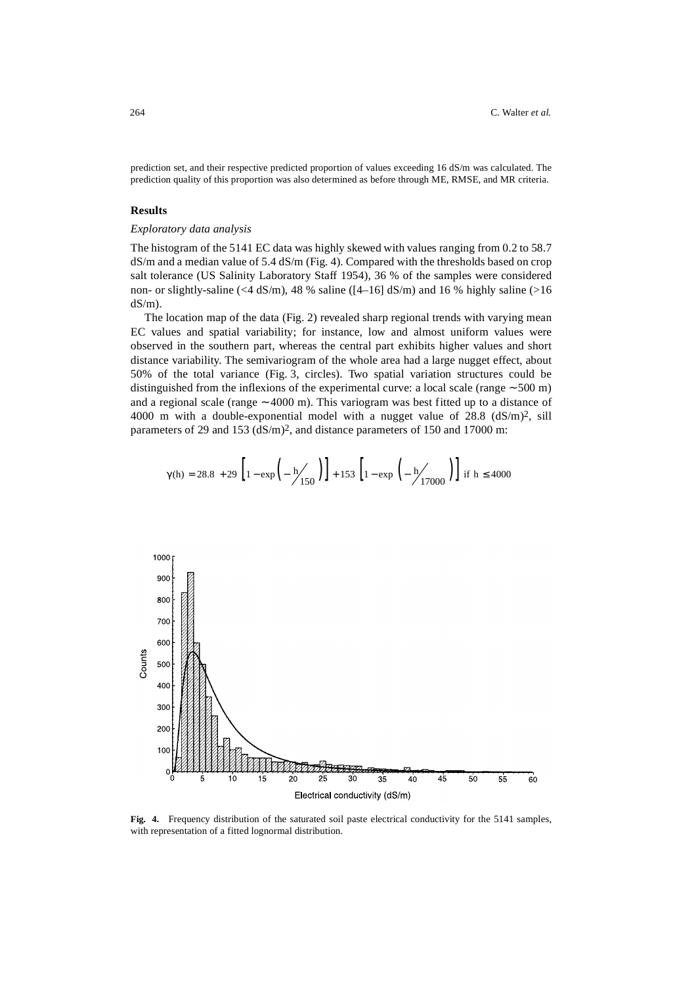prediction set, and their respective predicted proportion of values exceeding 16 dS/m was calculated. The prediction quality of this proportion was also determined as before through ME, RMSE, and MR criteria.

# **Results**

# *Exploratory data analysis*

The histogram of the 5141 EC data was highly skewed with values ranging from 0.2 to 58.7 dS/m and a median value of 5.4 dS/m (Fig. 4). Compared with the thresholds based on crop salt tolerance (US Salinity Laboratory Staff 1954), 36 % of the samples were considered non- or slightly-saline (<4 dS/m), 48 % saline ( $[4-16]$  dS/m) and 16 % highly saline (>16  $dS/m$ ).

The location map of the data (Fig. 2) revealed sharp regional trends with varying mean EC values and spatial variability; for instance, low and almost uniform values were observed in the southern part, whereas the central part exhibits higher values and short distance variability. The semivariogram of the whole area had a large nugget effect, about 50% of the total variance (Fig. 3, circles). Two spatial variation structures could be distinguished from the inflexions of the experimental curve: a local scale (range ∼ 500 m) and a regional scale (range ∼ 4000 m). This variogram was best fitted up to a distance of 4000 m with a double-exponential model with a nugget value of  $28.8 \text{ (dS/m)}^2$ , sill parameters of 29 and 153 (dS/m)2, and distance parameters of 150 and 17000 m:

$$
\gamma(h) = 28.8 + 29 \left[ 1 - \exp\left( -\frac{h}{150} \right) \right] + 153 \left[ 1 - \exp\left( -\frac{h}{17000} \right) \right] \text{ if } h \le 4000
$$



**Fig. 4.** Frequency distribution of the saturated soil paste electrical conductivity for the 5141 samples, with representation of a fitted lognormal distribution.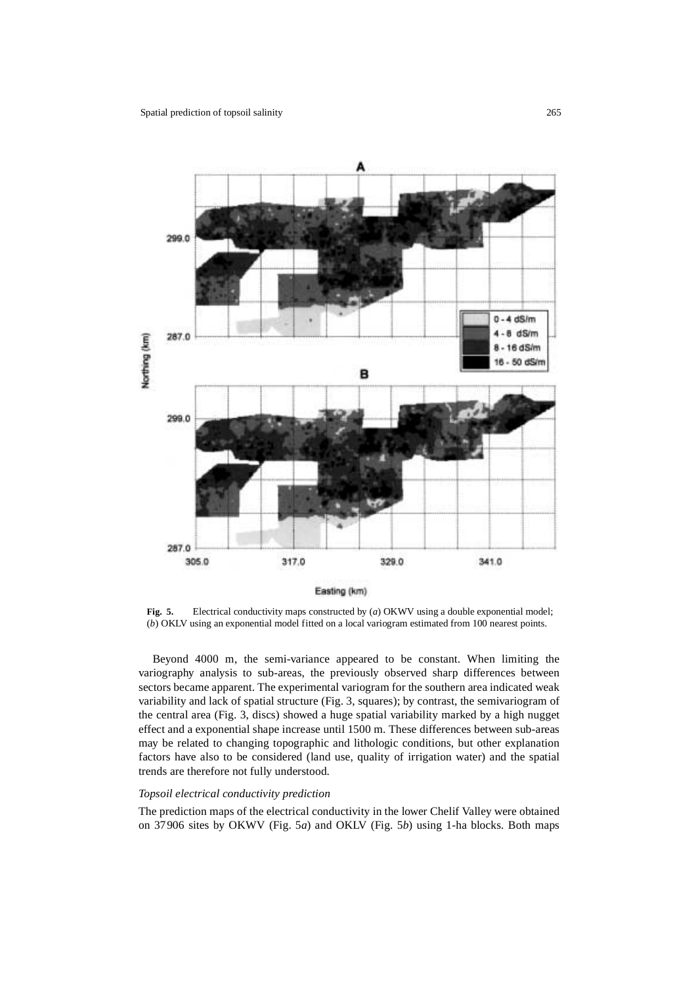

**Fig. 5.** Electrical conductivity maps constructed by (*a*) OKWV using a double exponential model; (*b*) OKLV using an exponential model fitted on a local variogram estimated from 100 nearest points.

Beyond 4000 m, the semi-variance appeared to be constant. When limiting the variography analysis to sub-areas, the previously observed sharp differences between sectors became apparent. The experimental variogram for the southern area indicated weak variability and lack of spatial structure (Fig. 3, squares); by contrast, the semivariogram of the central area (Fig. 3, discs) showed a huge spatial variability marked by a high nugget effect and a exponential shape increase until 1500 m. These differences between sub-areas may be related to changing topographic and lithologic conditions, but other explanation factors have also to be considered (land use, quality of irrigation water) and the spatial trends are therefore not fully understood.

### *Topsoil electrical conductivity prediction*

The prediction maps of the electrical conductivity in the lower Chelif Valley were obtained on 37906 sites by OKWV (Fig. 5*a*) and OKLV (Fig. 5*b*) using 1-ha blocks. Both maps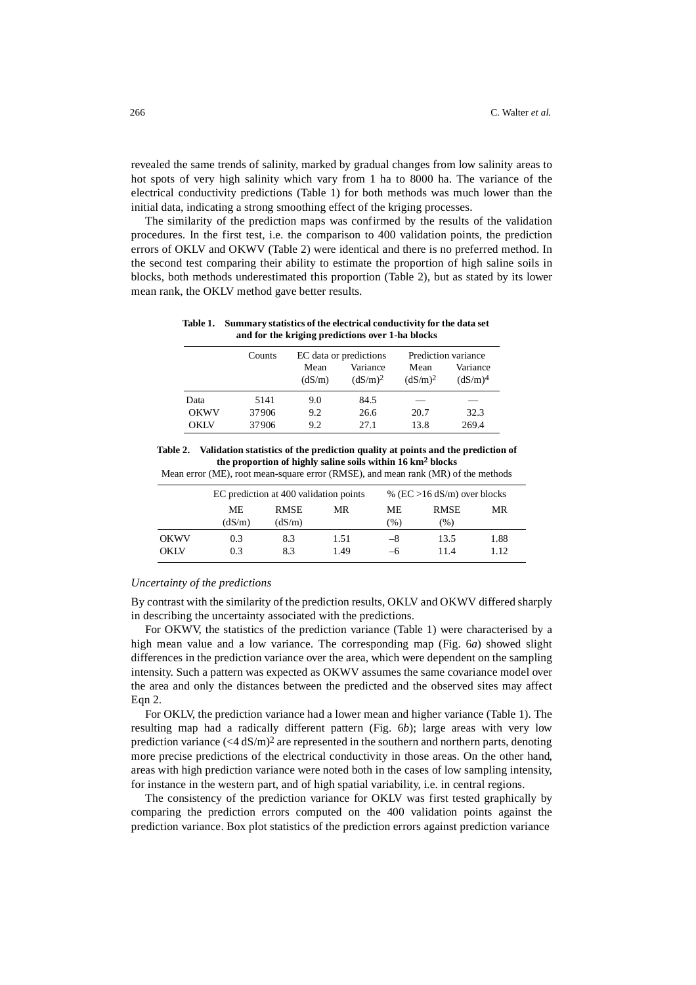revealed the same trends of salinity, marked by gradual changes from low salinity areas to hot spots of very high salinity which vary from 1 ha to 8000 ha. The variance of the electrical conductivity predictions (Table 1) for both methods was much lower than the initial data, indicating a strong smoothing effect of the kriging processes.

The similarity of the prediction maps was confirmed by the results of the validation procedures. In the first test, i.e. the comparison to 400 validation points, the prediction errors of OKLV and OKWV (Table 2) were identical and there is no preferred method. In the second test comparing their ability to estimate the proportion of high saline soils in blocks, both methods underestimated this proportion (Table 2), but as stated by its lower mean rank, the OKLV method gave better results.

**Table 1. Summary statistics of the electrical conductivity for the data set and for the kriging predictions over 1-ha blocks**

|             | Counts | EC data or predictions |                                 | Prediction variance         |                                 |
|-------------|--------|------------------------|---------------------------------|-----------------------------|---------------------------------|
|             |        | Mean<br>(dS/m)         | Variance<br>(dS/m) <sup>2</sup> | Mean<br>(dS/m) <sup>2</sup> | Variance<br>(dS/m) <sup>4</sup> |
| Data        | 5141   | 9.0                    | 84.5                            | _                           |                                 |
| <b>OKWV</b> | 37906  | 9.2                    | 26.6                            | 20.7                        | 32.3                            |
| <b>OKLV</b> | 37906  | 9.2                    | 27.1                            | 13.8                        | 269.4                           |

**Table 2. Validation statistics of the prediction quality at points and the prediction of the proportion of highly saline soils within 16 km2 blocks** Mean error (ME), root mean-square error (RMSE), and mean rank (MR) of the methods

|                     | EC prediction at 400 validation points |                       |              | % ( $EC > 16$ dS/m) over blocks |                    |               |
|---------------------|----------------------------------------|-----------------------|--------------|---------------------------------|--------------------|---------------|
|                     | МE<br>(dS/m)                           | <b>RMSE</b><br>(dS/m) | MR           | МE<br>$(\%)$                    | <b>RMSE</b><br>(%) | MR            |
| <b>OKWV</b><br>OKLV | 0.3<br>0.3                             | 8.3<br>83             | 1.51<br>1.49 | $-8$<br>—რ                      | 13.5<br>11.4       | 1.88<br>1.12. |

*Uncertainty of the predictions*

By contrast with the similarity of the prediction results, OKLV and OKWV differed sharply in describing the uncertainty associated with the predictions.

For OKWV, the statistics of the prediction variance (Table 1) were characterised by a high mean value and a low variance. The corresponding map (Fig. 6*a*) showed slight differences in the prediction variance over the area, which were dependent on the sampling intensity. Such a pattern was expected as OKWV assumes the same covariance model over the area and only the distances between the predicted and the observed sites may affect Eqn 2.

For OKLV, the prediction variance had a lower mean and higher variance (Table 1). The resulting map had a radically different pattern (Fig. 6*b*); large areas with very low prediction variance  $(<4 \text{ dS/m})^2$  are represented in the southern and northern parts, denoting more precise predictions of the electrical conductivity in those areas. On the other hand, areas with high prediction variance were noted both in the cases of low sampling intensity, for instance in the western part, and of high spatial variability, i.e. in central regions.

The consistency of the prediction variance for OKLV was first tested graphically by comparing the prediction errors computed on the 400 validation points against the prediction variance. Box plot statistics of the prediction errors against prediction variance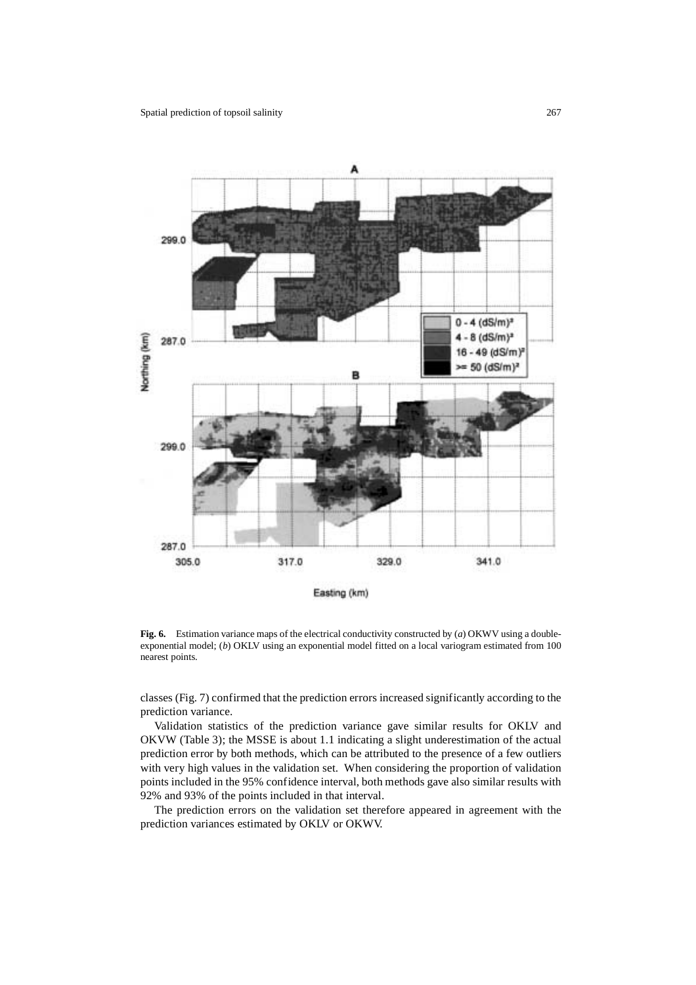

**Fig. 6.** Estimation variance maps of the electrical conductivity constructed by (*a*) OKWV using a doubleexponential model; (*b*) OKLV using an exponential model fitted on a local variogram estimated from 100 nearest points.

classes (Fig. 7) confirmed that the prediction errors increased significantly according to the prediction variance.

Validation statistics of the prediction variance gave similar results for OKLV and OKVW (Table 3); the MSSE is about 1.1 indicating a slight underestimation of the actual prediction error by both methods, which can be attributed to the presence of a few outliers with very high values in the validation set. When considering the proportion of validation points included in the 95% confidence interval, both methods gave also similar results with 92% and 93% of the points included in that interval.

The prediction errors on the validation set therefore appeared in agreement with the prediction variances estimated by OKLV or OKWV.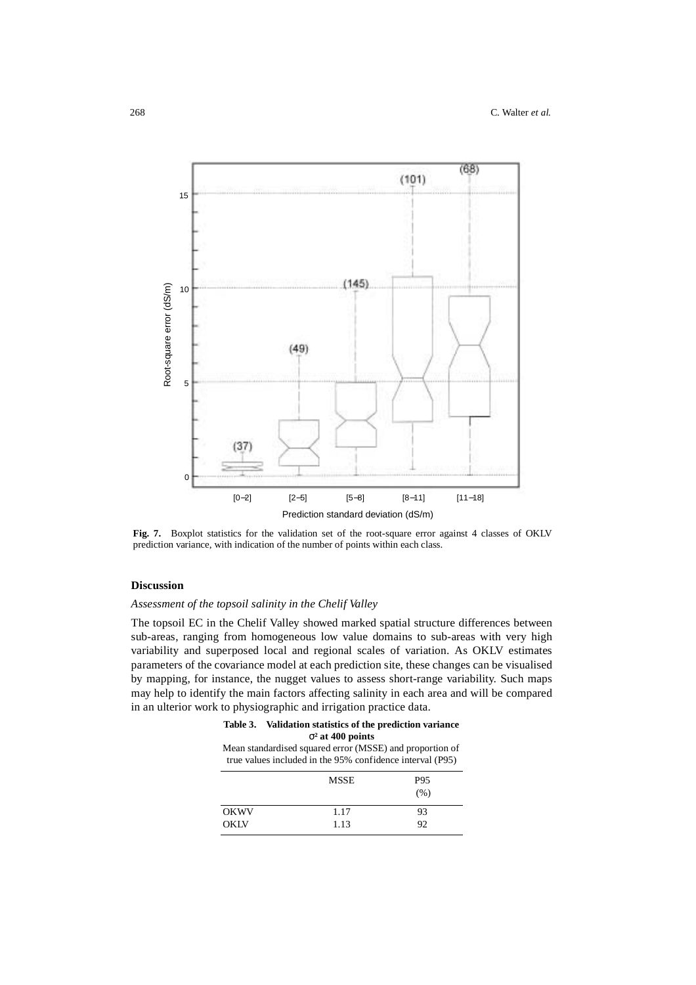

**Fig. 7.** Boxplot statistics for the validation set of the root-square error against 4 classes of OKLV prediction variance, with indication of the number of points within each class.

# **Discussion**

# *Assessment of the topsoil salinity in the Chelif Valley*

The topsoil EC in the Chelif Valley showed marked spatial structure differences between sub-areas, ranging from homogeneous low value domains to sub-areas with very high variability and superposed local and regional scales of variation. As OKLV estimates parameters of the covariance model at each prediction site, these changes can be visualised by mapping, for instance, the nugget values to assess short-range variability. Such maps may help to identify the main factors affecting salinity in each area and will be compared in an ulterior work to physiographic and irrigation practice data.

# **Table 3. Validation statistics of the prediction variance**  σ**² at 400 points**

Mean standardised squared error (MSSE) and proportion of true values included in the 95% confidence interval (P95)

|             | <b>MSSE</b> | P95<br>(% ) |
|-------------|-------------|-------------|
| <b>OKWV</b> | 1.17        | 93          |
| <b>OKLV</b> | 1.13        | 92          |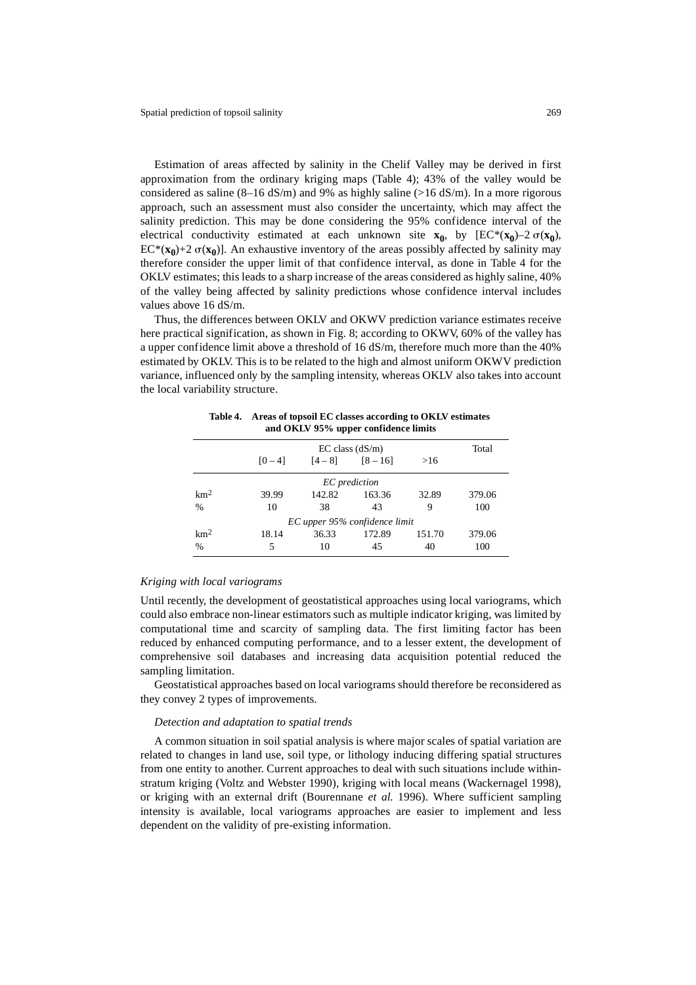Estimation of areas affected by salinity in the Chelif Valley may be derived in first approximation from the ordinary kriging maps (Table 4); 43% of the valley would be considered as saline  $(8-16 \text{ dS/m})$  and 9% as highly saline ( $>16 \text{ dS/m}$ ). In a more rigorous approach, such an assessment must also consider the uncertainty, which may affect the salinity prediction. This may be done considering the 95% confidence interval of the electrical conductivity estimated at each unknown site  $\mathbf{x}_0$ , by  $[EC^*(\mathbf{x}_0) - 2 \sigma(\mathbf{x}_0)]$ ,  $EC^*(\mathbf{x_0})+2 \sigma(\mathbf{x_0})$ ]. An exhaustive inventory of the areas possibly affected by salinity may therefore consider the upper limit of that confidence interval, as done in Table 4 for the OKLV estimates; this leads to a sharp increase of the areas considered as highly saline, 40% of the valley being affected by salinity predictions whose confidence interval includes values above 16 dS/m.

Thus, the differences between OKLV and OKWV prediction variance estimates receive here practical signification, as shown in Fig. 8; according to OKWV, 60% of the valley has a upper confidence limit above a threshold of 16 dS/m, therefore much more than the 40% estimated by OKLV. This is to be related to the high and almost uniform OKWV prediction variance, influenced only by the sampling intensity, whereas OKLV also takes into account the local variability structure.

| and OKLy 95% upper commence minus |           |                     |                               |        |        |  |
|-----------------------------------|-----------|---------------------|-------------------------------|--------|--------|--|
|                                   |           | $EC$ class $(dS/m)$ |                               |        |        |  |
|                                   | $[0 - 4]$ | $[4-8]$ $[8-16]$    |                               | >16    |        |  |
| EC prediction                     |           |                     |                               |        |        |  |
| km <sup>2</sup>                   | 39.99     | 142.82              | 163.36                        | 32.89  | 379.06 |  |
| $\frac{0}{0}$                     | 10        | 38                  | 43                            | 9      | 100    |  |
|                                   |           |                     | EC upper 95% confidence limit |        |        |  |
| km <sup>2</sup>                   | 18.14     | 36.33               | 172.89                        | 151.70 | 379.06 |  |
| %                                 | 5         | 10                  | 45                            | 40     | 100    |  |

**Table 4. Areas of topsoil EC classes according to OKLV estimates and OKLV 95% upper confidence limits**

## *Kriging with local variograms*

Until recently, the development of geostatistical approaches using local variograms, which could also embrace non-linear estimators such as multiple indicator kriging, was limited by computational time and scarcity of sampling data. The first limiting factor has been reduced by enhanced computing performance, and to a lesser extent, the development of comprehensive soil databases and increasing data acquisition potential reduced the sampling limitation.

Geostatistical approaches based on local variograms should therefore be reconsidered as they convey 2 types of improvements.

## *Detection and adaptation to spatial trends*

A common situation in soil spatial analysis is where major scales of spatial variation are related to changes in land use, soil type, or lithology inducing differing spatial structures from one entity to another. Current approaches to deal with such situations include withinstratum kriging (Voltz and Webster 1990), kriging with local means (Wackernagel 1998), or kriging with an external drift (Bourennane *et al.* 1996). Where sufficient sampling intensity is available, local variograms approaches are easier to implement and less dependent on the validity of pre-existing information.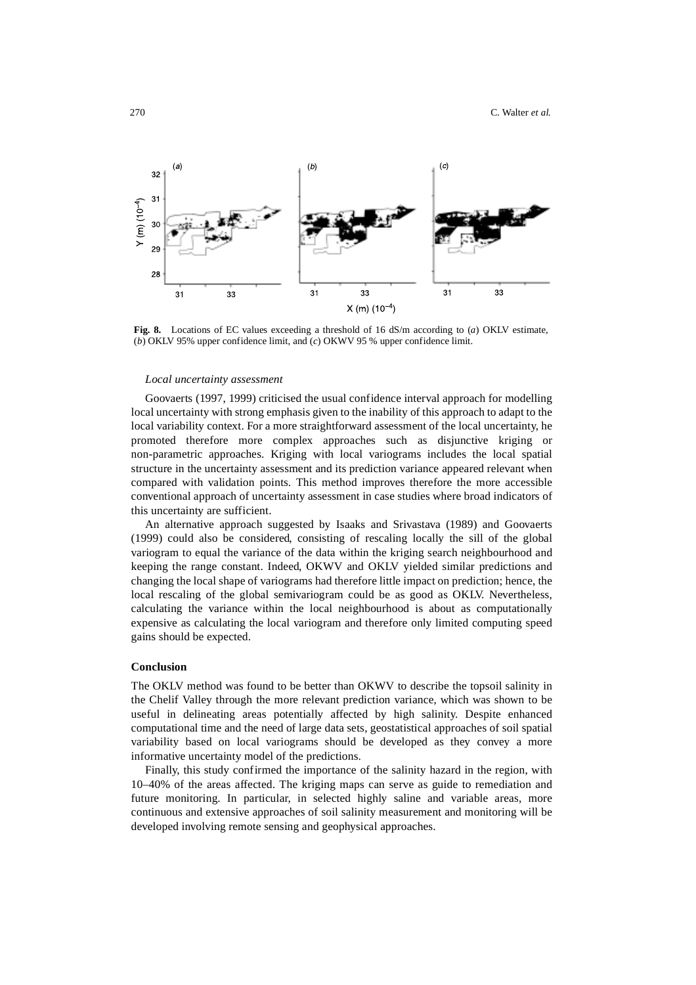

**Fig. 8.** Locations of EC values exceeding a threshold of 16 dS/m according to (*a*) OKLV estimate, (*b*) OKLV 95% upper confidence limit, and (*c*) OKWV 95 % upper confidence limit.

### *Local uncertainty assessment*

Goovaerts (1997, 1999) criticised the usual confidence interval approach for modelling local uncertainty with strong emphasis given to the inability of this approach to adapt to the local variability context. For a more straightforward assessment of the local uncertainty, he promoted therefore more complex approaches such as disjunctive kriging or non-parametric approaches. Kriging with local variograms includes the local spatial structure in the uncertainty assessment and its prediction variance appeared relevant when compared with validation points. This method improves therefore the more accessible conventional approach of uncertainty assessment in case studies where broad indicators of this uncertainty are sufficient.

An alternative approach suggested by Isaaks and Srivastava (1989) and Goovaerts (1999) could also be considered, consisting of rescaling locally the sill of the global variogram to equal the variance of the data within the kriging search neighbourhood and keeping the range constant. Indeed, OKWV and OKLV yielded similar predictions and changing the local shape of variograms had therefore little impact on prediction; hence, the local rescaling of the global semivariogram could be as good as OKLV. Nevertheless, calculating the variance within the local neighbourhood is about as computationally expensive as calculating the local variogram and therefore only limited computing speed gains should be expected.

## **Conclusion**

The OKLV method was found to be better than OKWV to describe the topsoil salinity in the Chelif Valley through the more relevant prediction variance, which was shown to be useful in delineating areas potentially affected by high salinity. Despite enhanced computational time and the need of large data sets, geostatistical approaches of soil spatial variability based on local variograms should be developed as they convey a more informative uncertainty model of the predictions.

Finally, this study confirmed the importance of the salinity hazard in the region, with 10–40% of the areas affected. The kriging maps can serve as guide to remediation and future monitoring. In particular, in selected highly saline and variable areas, more continuous and extensive approaches of soil salinity measurement and monitoring will be developed involving remote sensing and geophysical approaches.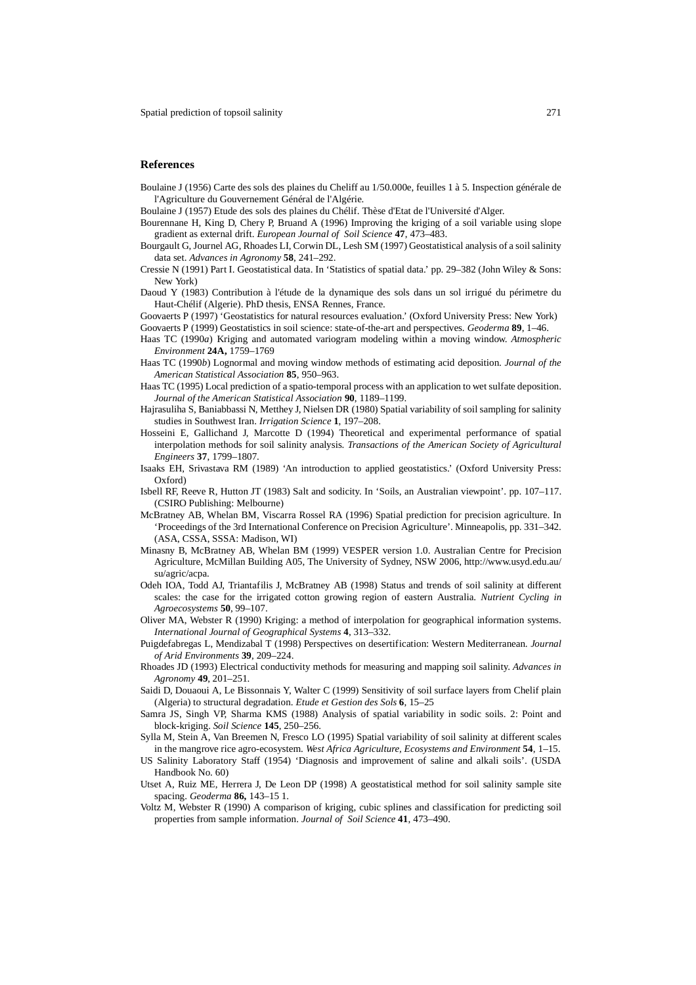### **References**

Boulaine J (1956) Carte des sols des plaines du Cheliff au 1/50.000e, feuilles 1 à 5. Inspection générale de l'Agriculture du Gouvernement Général de l'Algérie.

Boulaine J (1957) Etude des sols des plaines du Chélif. Thèse d'Etat de l'Université d'Alger.

- Bourennane H, King D, Chery P, Bruand A (1996) Improving the kriging of a soil variable using slope gradient as external drift. *European Journal of Soil Science* **47**, 473–483.
- Bourgault G, Journel AG, Rhoades LI, Corwin DL, Lesh SM (1997) Geostatistical analysis of a soil salinity data set. *Advances in Agronomy* **58**, 241–292.
- Cressie N (1991) Part I. Geostatistical data. In 'Statistics of spatial data.' pp. 29–382 (John Wiley & Sons: New York)
- Daoud Y (1983) Contribution à l'étude de la dynamique des sols dans un sol irrigué du périmetre du Haut-Chélif (Algerie). PhD thesis, ENSA Rennes, France.
- Goovaerts P (1997) 'Geostatistics for natural resources evaluation.' (Oxford University Press: New York)
- Goovaerts P (1999) Geostatistics in soil science: state-of-the-art and perspectives. *Geoderma* **89**, 1–46.
- Haas TC (1990*a*) Kriging and automated variogram modeling within a moving window. *Atmospheric Environment* **24A,** 1759–1769
- Haas TC (1990*b*) Lognormal and moving window methods of estimating acid deposition. *Journal of the American Statistical Association* **85**, 950–963.
- Haas TC (1995) Local prediction of a spatio-temporal process with an application to wet sulfate deposition. *Journal of the American Statistical Association* **90**, 1189–1199.
- Hajrasuliha S, Baniabbassi N, Metthey J, Nielsen DR (1980) Spatial variability of soil sampling for salinity studies in Southwest Iran. *Irrigation Science* **1**, 197–208.
- Hosseini E, Gallichand J, Marcotte D (1994) Theoretical and experimental performance of spatial interpolation methods for soil salinity analysis. *Transactions of the American Society of Agricultural Engineers* **37**, 1799–1807.
- Isaaks EH, Srivastava RM (1989) 'An introduction to applied geostatistics.' (Oxford University Press: Oxford)
- Isbell RF, Reeve R, Hutton JT (1983) Salt and sodicity. In 'Soils, an Australian viewpoint'. pp. 107–117. (CSIRO Publishing: Melbourne)
- McBratney AB, Whelan BM, Viscarra Rossel RA (1996) Spatial prediction for precision agriculture. In 'Proceedings of the 3rd International Conference on Precision Agriculture'. Minneapolis, pp. 331–342. (ASA, CSSA, SSSA: Madison, WI)
- Minasny B, McBratney AB, Whelan BM (1999) VESPER version 1.0. Australian Centre for Precision Agriculture, McMillan Building A05, The University of Sydney, NSW 2006, http://www.usyd.edu.au/ su/agric/acpa.
- Odeh IOA, Todd AJ, Triantafilis J, McBratney AB (1998) Status and trends of soil salinity at different scales: the case for the irrigated cotton growing region of eastern Australia. *Nutrient Cycling in Agroecosystems* **50**, 99–107.
- Oliver MA, Webster R (1990) Kriging: a method of interpolation for geographical information systems. *International Journal of Geographical Systems* **4**, 313–332.
- Puigdefabregas L, Mendizabal T (1998) Perspectives on desertification: Western Mediterranean. *Journal of Arid Environments* **39**, 209–224.
- Rhoades JD (1993) Electrical conductivity methods for measuring and mapping soil salinity. *Advances in Agronomy* **49**, 201–251.
- Saidi D, Douaoui A, Le Bissonnais Y, Walter C (1999) Sensitivity of soil surface layers from Chelif plain (Algeria) to structural degradation. *Etude et Gestion des Sols* **6**, 15–25
- Samra JS, Singh VP, Sharma KMS (1988) Analysis of spatial variability in sodic soils. 2: Point and block-kriging. *Soil Science* **145**, 250–256.
- Sylla M, Stein A, Van Breemen N, Fresco LO (1995) Spatial variability of soil salinity at different scales in the mangrove rice agro-ecosystem. *West Africa Agriculture, Ecosystems and Environment* **54**, 1–15.
- US Salinity Laboratory Staff (1954) 'Diagnosis and improvement of saline and alkali soils'. (USDA Handbook No. 60)
- Utset A, Ruiz ME, Herrera J, De Leon DP (1998) A geostatistical method for soil salinity sample site spacing. *Geoderma* **86,** 143–15 1.
- Voltz M, Webster R (1990) A comparison of kriging, cubic splines and classification for predicting soil properties from sample information. *Journal of Soil Science* **41**, 473–490.